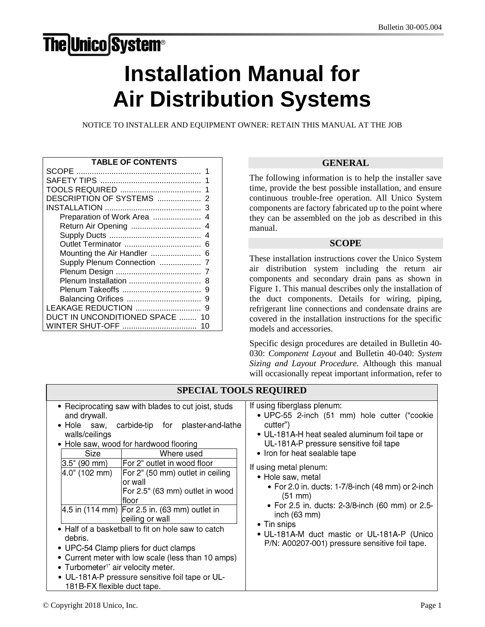# **The Unico System®**

# Installation Manual for Air Distribution Systems

NOTICE TO INSTALLER AND EQUIPMENT OWNER: RETAIN THIS MANUAL AT THE JOB

| <b>TABLE OF CONTENTS</b>      |
|-------------------------------|
|                               |
|                               |
| 1                             |
| DESCRIPTION OF SYSTEMS<br>2   |
| 3                             |
| Preparation of Work Area      |
| Return Air Opening<br>4       |
| 4                             |
| 6                             |
| Mounting the Air Handler<br>6 |
| Supply Plenum Connection      |
|                               |
| Plenum Installation<br>8      |
| 9                             |
| 9                             |
| LEAKAGE REDUCTION<br>9        |
| DUCT IN UNCONDITIONED SPACE   |
| WINTER SHUT-OFF               |

# **GENERAL**

The following information is to help the installer save time, provide the best possible installation, and ensure continuous trouble-free operation. All Unico System components are factory fabricated up to the point where they can be assembled on the job as described in this manual.

## **SCOPE**

These installation instructions cover the Unico System air distribution system including the return air components and secondary drain pans as shown in Figure 1. This manual describes only the installation of the duct components. Details for wiring, piping, refrigerant line connections and condensate drains are covered in the installation instructions for the specific models and accessories.

Specific design procedures are detailed in Bulletin 40- 030: *Component Layout* and Bulletin 40-040: *System Sizing and Layout Procedure.* Although this manual will occasionally repeat important information, refer to

| <b>SPECIAL TOOLS REQUIRED</b>                                                                                                                                                                                                                                                                                                                                                                                                                                                                                                                                                                                                                                                                                                                         |                                                                                                                                                                                                                                                                                                                                                                                                                                                                                                                                 |  |  |  |
|-------------------------------------------------------------------------------------------------------------------------------------------------------------------------------------------------------------------------------------------------------------------------------------------------------------------------------------------------------------------------------------------------------------------------------------------------------------------------------------------------------------------------------------------------------------------------------------------------------------------------------------------------------------------------------------------------------------------------------------------------------|---------------------------------------------------------------------------------------------------------------------------------------------------------------------------------------------------------------------------------------------------------------------------------------------------------------------------------------------------------------------------------------------------------------------------------------------------------------------------------------------------------------------------------|--|--|--|
| • Reciprocating saw with blades to cut joist, studs<br>and drywall.<br>• Hole saw,<br>carbide-tip for plaster-and-lathe<br>walls/ceilings<br>• Hole saw, wood for hardwood flooring<br><b>Size</b><br>Where used<br>For 2" outlet in wood floor<br>3.5" (90 mm)<br>4.0" (102 mm)<br>For 2" (50 mm) outlet in ceiling<br>lor wall<br>For 2.5" (63 mm) outlet in wood<br>lfloor<br>4.5 in (114 mm) For 2.5 in. (63 mm) outlet in<br>ceiling or wall<br>• Half of a basketball to fit on hole saw to catch<br>debris.<br>• UPC-54 Clamp pliers for duct clamps<br>• Current meter with low scale (less than 10 amps)<br>• Turbometer <sup>1*</sup> air velocity meter.<br>• UL-181A-P pressure sensitive foil tape or UL-<br>181B-FX flexible duct tape. | If using fiberglass plenum:<br>• UPC-55 2-inch (51 mm) hole cutter ("cookie<br>cutter")<br>• UL-181A-H heat sealed aluminum foil tape or<br>UL-181A-P pressure sensitive foil tape<br>• Iron for heat sealable tape<br>If using metal plenum:<br>• Hole saw, metal<br>• For 2.0 in. ducts: 1-7/8-inch $(48 \text{ mm})$ or 2-inch<br>(51 mm)<br>• For 2.5 in. ducts: 2-3/8-inch (60 mm) or 2.5-<br>inch (63 mm)<br>• Tin snips<br>• UL-181A-M duct mastic or UL-181A-P (Unico<br>P/N: A00207-001) pressure sensitive foil tape. |  |  |  |

# © Copyright 2018 Unico, Inc. Page 1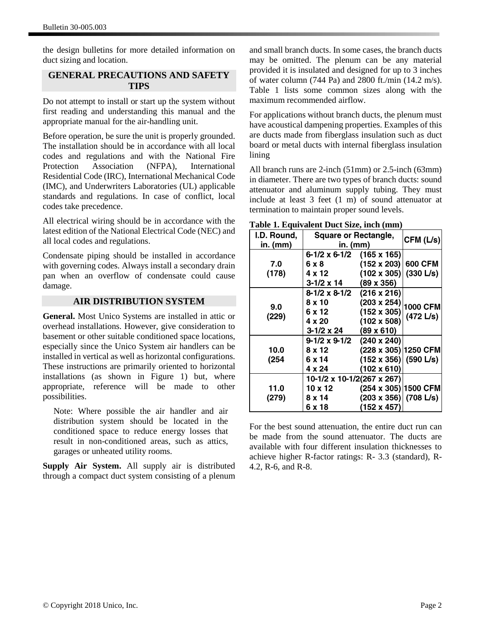the design bulletins for more detailed information on duct sizing and location.

# **GENERAL PRECAUTIONS AND SAFETY TIPS**

Do not attempt to install or start up the system without first reading and understanding this manual and the appropriate manual for the air-handling unit.

Before operation, be sure the unit is properly grounded. The installation should be in accordance with all local codes and regulations and with the National Fire Protection Association (NFPA), International Residential Code (IRC), International Mechanical Code (IMC), and Underwriters Laboratories (UL) applicable standards and regulations. In case of conflict, local codes take precedence.

All electrical wiring should be in accordance with the latest edition of the National Electrical Code (NEC) and all local codes and regulations.

Condensate piping should be installed in accordance with governing codes. Always install a secondary drain pan when an overflow of condensate could cause damage.

## **AIR DISTRIBUTION SYSTEM**

**General.** Most Unico Systems are installed in attic or overhead installations. However, give consideration to basement or other suitable conditioned space locations, especially since the Unico System air handlers can be installed in vertical as well as horizontal configurations. These instructions are primarily oriented to horizontal installations (as shown in Figure 1) but, where appropriate, reference will be made to other possibilities.

Note: Where possible the air handler and air distribution system should be located in the conditioned space to reduce energy losses that result in non-conditioned areas, such as attics, garages or unheated utility rooms.

**Supply Air System.** All supply air is distributed through a compact duct system consisting of a plenum and small branch ducts. In some cases, the branch ducts may be omitted. The plenum can be any material provided it is insulated and designed for up to 3 inches of water column (744 Pa) and 2800 ft./min (14.2 m/s). Table 1 lists some common sizes along with the maximum recommended airflow.

For applications without branch ducts, the plenum must have acoustical dampening properties. Examples of this are ducts made from fiberglass insulation such as duct board or metal ducts with internal fiberglass insulation lining

All branch runs are 2-inch (51mm) or 2.5-inch (63mm) in diameter. There are two types of branch ducts: sound attenuator and aluminum supply tubing. They must include at least 3 feet (1 m) of sound attenuator at termination to maintain proper sound levels.

| Table 1. Equivalent Duct Size, inch (mm) |  |  |  |  |  |  |  |  |  |  |  |
|------------------------------------------|--|--|--|--|--|--|--|--|--|--|--|
|------------------------------------------|--|--|--|--|--|--|--|--|--|--|--|

| $\frac{1}{2}$ . Equivalent $\frac{1}{2}$<br>I.D. Round,<br>in. (mm) | $\mathbf{u}$ where $\mathbf{u}$ $\mathbf{u}$ $\mathbf{u}$ $\mathbf{u}$<br><b>Square or Rectangle,</b><br>in. (mm) |                              | CFM (L/s) |
|---------------------------------------------------------------------|-------------------------------------------------------------------------------------------------------------------|------------------------------|-----------|
|                                                                     | 6-1/2 x 6-1/2                                                                                                     | $(165 \times 165)$           |           |
| 7.0                                                                 | 6 x 8                                                                                                             | $(152 \times 203)$           | 600 CFM   |
| (178)                                                               | 4 x 12                                                                                                            | $(102 \times 305)$           | (330 L/s) |
|                                                                     | 3-1/2 x 14                                                                                                        | $(89 \times 356)$            |           |
|                                                                     | 8-1/2 x 8-1/2                                                                                                     | $(216 \times 216)$           |           |
|                                                                     | $8 \times 10$                                                                                                     | $(203 \times 254)$           |           |
| 9.0<br>(229)                                                        | 6 x 12                                                                                                            | $(152 \times 305)$           | 1000 CFM  |
|                                                                     | 4 x 20                                                                                                            | $(102 \times 508)$           | (472 L/s) |
|                                                                     | 3-1/2 x 24                                                                                                        | $(89 \times 610)$            |           |
|                                                                     | $9-1/2 \times 9-1/2$                                                                                              | $(240 \times 240)$           |           |
| 10.0                                                                | $8 \times 12$                                                                                                     | (228 x 305) 1250 CFM         |           |
| (254                                                                | 6 x 14                                                                                                            | $(152 \times 356)$ (590 L/s) |           |
|                                                                     | 4 x 24                                                                                                            | $(102 \times 610)$           |           |
|                                                                     | 10-1/2 x 10-1/2(267 x 267)                                                                                        |                              |           |
| 11.0                                                                | $10 \times 12$                                                                                                    | $(254 \times 305)$ 1500 CFM  |           |
| (279)                                                               | 8 x 14                                                                                                            | $(203 \times 356)$ (708 L/s) |           |
|                                                                     | 6 x 18                                                                                                            | (152 x 457)                  |           |

For the best sound attenuation, the entire duct run can be made from the sound attenuator. The ducts are available with four different insulation thicknesses to achieve higher R-factor ratings: R- 3.3 (standard), R-4.2, R-6, and R-8.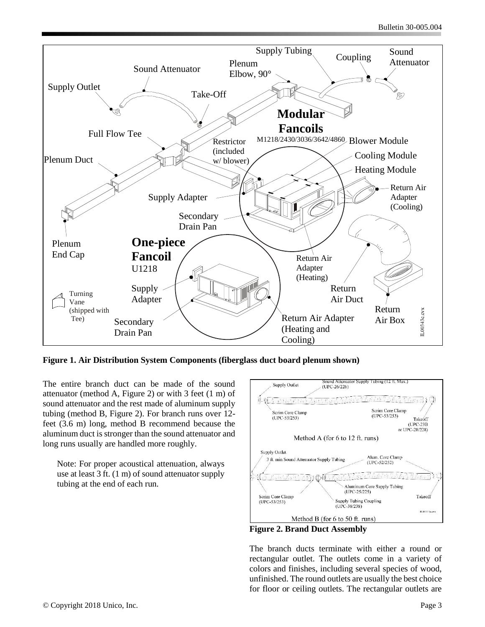

**Figure 1. Air Distribution System Components (fiberglass duct board plenum shown)**

The entire branch duct can be made of the sound attenuator (method A, Figure 2) or with 3 feet (1 m) of sound attenuator and the rest made of aluminum supply tubing (method B, Figure 2). For branch runs over 12 feet (3.6 m) long, method B recommend because the aluminum duct is stronger than the sound attenuator and long runs usually are handled more roughly.

Note: For proper acoustical attenuation, always use at least 3 ft. (1 m) of sound attenuator supply tubing at the end of each run*.* 



**Figure 2. Brand Duct Assembly**

The branch ducts terminate with either a round or rectangular outlet. The outlets come in a variety of colors and finishes, including several species of wood, unfinished. The round outlets are usually the best choice for floor or ceiling outlets. The rectangular outlets are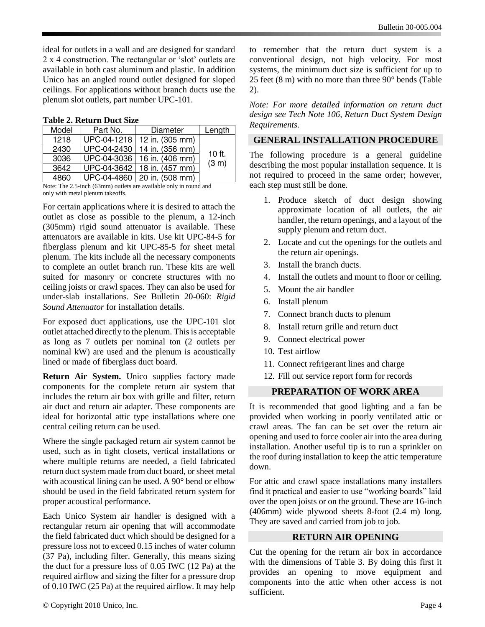ideal for outlets in a wall and are designed for standard 2 x 4 construction. The rectangular or 'slot' outlets are available in both cast aluminum and plastic. In addition Unico has an angled round outlet designed for sloped ceilings. For applications without branch ducts use the plenum slot outlets, part number UPC-101.

**Table 2. Return Duct Size**

| Model | Part No.    | Diameter        | Length |
|-------|-------------|-----------------|--------|
| 1218  | UPC-04-1218 | 12 in. (305 mm) |        |
| 2430  | UPC-04-2430 | 14 in. (356 mm) | 10 ft. |
| 3036  | UPC-04-3036 | 16 in. (406 mm) | (3 m)  |
| 3642  | UPC-04-3642 | 18 in. (457 mm) |        |
| 4860  | UPC-04-4860 | 20 in. (508 mm) |        |

Note: The 2.5-inch (63mm) outlets are available only in round and only with metal plenum takeoffs.

For certain applications where it is desired to attach the outlet as close as possible to the plenum, a 12-inch (305mm) rigid sound attenuator is available. These attenuators are available in kits. Use kit UPC-84-5 for fiberglass plenum and kit UPC-85-5 for sheet metal plenum. The kits include all the necessary components to complete an outlet branch run. These kits are well suited for masonry or concrete structures with no ceiling joists or crawl spaces. They can also be used for under-slab installations. See Bulletin 20-060: *Rigid Sound Attenuator* for installation details.

For exposed duct applications, use the UPC-101 slot outlet attached directly to the plenum. This is acceptable as long as 7 outlets per nominal ton (2 outlets per nominal kW) are used and the plenum is acoustically lined or made of fiberglass duct board.

**Return Air System.** Unico supplies factory made components for the complete return air system that includes the return air box with grille and filter, return air duct and return air adapter. These components are ideal for horizontal attic type installations where one central ceiling return can be used.

Where the single packaged return air system cannot be used, such as in tight closets, vertical installations or where multiple returns are needed, a field fabricated return duct system made from duct board, or sheet metal with acoustical lining can be used. A 90° bend or elbow should be used in the field fabricated return system for proper acoustical performance.

Each Unico System air handler is designed with a rectangular return air opening that will accommodate the field fabricated duct which should be designed for a pressure loss not to exceed 0.15 inches of water column (37 Pa), including filter. Generally, this means sizing the duct for a pressure loss of 0.05 IWC (12 Pa) at the required airflow and sizing the filter for a pressure drop of 0.10 IWC (25 Pa) at the required airflow. It may help

to remember that the return duct system is a conventional design, not high velocity. For most systems, the minimum duct size is sufficient for up to 25 feet (8 m) with no more than three 90° bends (Table 2).

*Note: For more detailed information on return duct design see Tech Note 106, Return Duct System Design Requirements.*

# **GENERAL INSTALLATION PROCEDURE**

The following procedure is a general guideline describing the most popular installation sequence. It is not required to proceed in the same order; however, each step must still be done.

- 1. Produce sketch of duct design showing approximate location of all outlets, the air handler, the return openings, and a layout of the supply plenum and return duct.
- 2. Locate and cut the openings for the outlets and the return air openings.
- 3. Install the branch ducts.
- 4. Install the outlets and mount to floor or ceiling.
- 5. Mount the air handler
- 6. Install plenum
- 7. Connect branch ducts to plenum
- 8. Install return grille and return duct
- 9. Connect electrical power
- 10. Test airflow
- 11. Connect refrigerant lines and charge
- 12. Fill out service report form for records

# **PREPARATION OF WORK AREA**

It is recommended that good lighting and a fan be provided when working in poorly ventilated attic or crawl areas. The fan can be set over the return air opening and used to force cooler air into the area during installation. Another useful tip is to run a sprinkler on the roof during installation to keep the attic temperature down.

For attic and crawl space installations many installers find it practical and easier to use "working boards" laid over the open joists or on the ground. These are 16-inch (406mm) wide plywood sheets 8-foot (2.4 m) long. They are saved and carried from job to job.

# **RETURN AIR OPENING**

Cut the opening for the return air box in accordance with the dimensions of Table 3. By doing this first it provides an opening to move equipment and components into the attic when other access is not sufficient.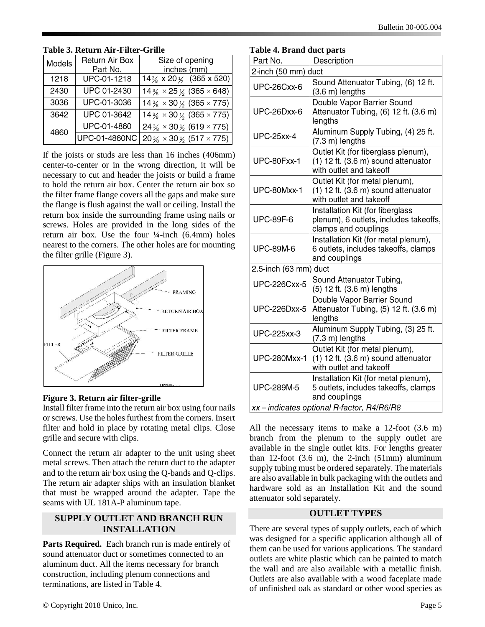| Models | <b>Return Air Box</b><br>Part No. | Size of opening<br>inches (mm)                   |
|--------|-----------------------------------|--------------------------------------------------|
| 1218   | UPC-01-1218                       | 14 $\frac{3}{8}$ x 20 $\frac{1}{2}$ (365 x 520)  |
| 2430   | UPC 01-2430                       | $14\frac{3}{8} \times 25\frac{1}{9}$ (365 × 648) |
| 3036   | UPC-01-3036                       | $14\frac{3}{8} \times 30\frac{1}{5}$ (365 × 775) |
| 3642   | UPC 01-3642                       | $14\frac{3}{8} \times 30\frac{1}{5}$ (365 × 775) |
| 4860   | UPC-01-4860                       | $24\frac{3}{8} \times 30\frac{1}{6}$ (619 × 775) |
|        | UPC-01-4860NC                     | $20\frac{3}{8} \times 30\frac{1}{5}$ (517 × 775) |

## **Table 3. Return Air-Filter-Grille**

If the joists or studs are less than 16 inches (406mm) center-to-center or in the wrong direction, it will be necessary to cut and header the joists or build a frame to hold the return air box. Center the return air box so the filter frame flange covers all the gaps and make sure the flange is flush against the wall or ceiling. Install the return box inside the surrounding frame using nails or screws. Holes are provided in the long sides of the return air box. Use the four  $\frac{1}{4}$ -inch (6.4mm) holes nearest to the corners. The other holes are for mounting the filter grille (Figure 3).



#### **Figure 3. Return air filter-grille**

Install filter frame into the return air box using four nails or screws. Use the holes furthest from the corners. Insert filter and hold in place by rotating metal clips. Close grille and secure with clips.

Connect the return air adapter to the unit using sheet metal screws. Then attach the return duct to the adapter and to the return air box using the Q-bands and Q-clips. The return air adapter ships with an insulation blanket that must be wrapped around the adapter. Tape the seams with UL 181A-P aluminum tape.

# **SUPPLY OUTLET AND BRANCH RUN INSTALLATION**

Parts Required. Each branch run is made entirely of sound attenuator duct or sometimes connected to an aluminum duct. All the items necessary for branch construction, including plenum connections and terminations, are listed in Table 4.

| Part No.              | Description                                                                                                       |  |  |
|-----------------------|-------------------------------------------------------------------------------------------------------------------|--|--|
| 2-inch (50 mm) duct   |                                                                                                                   |  |  |
| UPC-26Cxx-6           | Sound Attenuator Tubing, (6) 12 ft.<br>(3.6 m) lengths                                                            |  |  |
| UPC-26Dxx-6           | Double Vapor Barrier Sound<br>Attenuator Tubing, (6) 12 ft. (3.6 m)<br>lengths                                    |  |  |
| <b>UPC-25xx-4</b>     | Aluminum Supply Tubing, (4) 25 ft.<br>$(7.3 \text{ m})$ lengths                                                   |  |  |
| UPC-80Fxx-1           | Outlet Kit (for fiberglass plenum),<br>$(1)$ 12 ft. $(3.6 \text{ m})$ sound attenuator<br>with outlet and takeoff |  |  |
| UPC-80Mxx-1           | Outlet Kit (for metal plenum),<br>$(1)$ 12 ft. $(3.6 \text{ m})$ sound attenuator<br>with outlet and takeoff      |  |  |
| <b>UPC-89F-6</b>      | Installation Kit (for fiberglass<br>plenum), 6 outlets, includes takeoffs,<br>clamps and couplings                |  |  |
| <b>UPC-89M-6</b>      | Installation Kit (for metal plenum),<br>6 outlets, includes takeoffs, clamps<br>and couplings                     |  |  |
| 2.5-inch (63 mm) duct |                                                                                                                   |  |  |
| <b>UPC-226Cxx-5</b>   | Sound Attenuator Tubing,<br>(5) 12 ft. (3.6 m) lengths                                                            |  |  |
| <b>UPC-226Dxx-5</b>   | Double Vapor Barrier Sound<br>Attenuator Tubing, (5) 12 ft. (3.6 m)<br>lengths                                    |  |  |
| <b>UPC-225xx-3</b>    | Aluminum Supply Tubing, (3) 25 ft.<br>$(7.3 \text{ m})$ lengths                                                   |  |  |
| <b>UPC-280Mxx-1</b>   | Outlet Kit (for metal plenum),<br>$(1)$ 12 ft. $(3.6 \text{ m})$ sound attenuator<br>with outlet and takeoff      |  |  |
| <b>UPC-289M-5</b>     | Installation Kit (for metal plenum),<br>5 outlets, includes takeoffs, clamps<br>and couplings                     |  |  |
|                       | xx-indicates optional R-factor, R4/R6/R8                                                                          |  |  |

All the necessary items to make a 12-foot (3.6 m) branch from the plenum to the supply outlet are available in the single outlet kits. For lengths greater than 12-foot  $(3.6 \text{ m})$ , the 2-inch  $(51 \text{ mm})$  aluminum supply tubing must be ordered separately. The materials are also available in bulk packaging with the outlets and hardware sold as an Installation Kit and the sound attenuator sold separately.

# **OUTLET TYPES**

There are several types of supply outlets, each of which was designed for a specific application although all of them can be used for various applications. The standard outlets are white plastic which can be painted to match the wall and are also available with a metallic finish. Outlets are also available with a wood faceplate made of unfinished oak as standard or other wood species as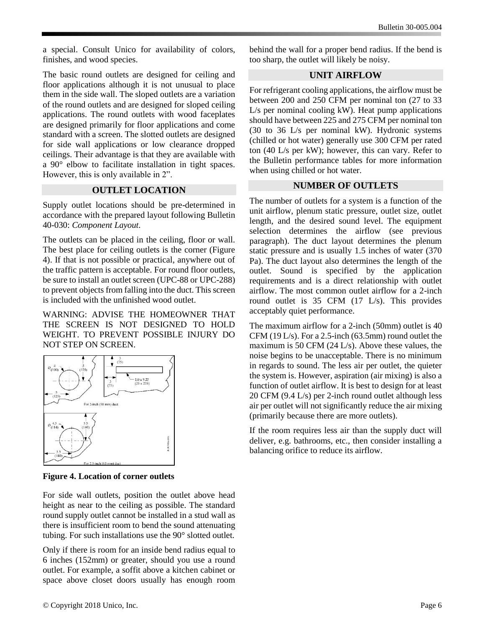a special. Consult Unico for availability of colors, finishes, and wood species.

The basic round outlets are designed for ceiling and floor applications although it is not unusual to place them in the side wall. The sloped outlets are a variation of the round outlets and are designed for sloped ceiling applications. The round outlets with wood faceplates are designed primarily for floor applications and come standard with a screen. The slotted outlets are designed for side wall applications or low clearance dropped ceilings. Their advantage is that they are available with a 90° elbow to facilitate installation in tight spaces. However, this is only available in 2".

#### **OUTLET LOCATION**

Supply outlet locations should be pre-determined in accordance with the prepared layout following Bulletin 40-030: *Component Layout*.

The outlets can be placed in the ceiling, floor or wall. The best place for ceiling outlets is the corner (Figure 4). If that is not possible or practical, anywhere out of the traffic pattern is acceptable. For round floor outlets, be sure to install an outlet screen (UPC-88 or UPC-288) to prevent objects from falling into the duct. This screen is included with the unfinished wood outlet.

WARNING: ADVISE THE HOMEOWNER THAT THE SCREEN IS NOT DESIGNED TO HOLD WEIGHT. TO PREVENT POSSIBLE INJURY DO NOT STEP ON SCREEN.



**Figure 4. Location of corner outlets**

For side wall outlets, position the outlet above head height as near to the ceiling as possible. The standard round supply outlet cannot be installed in a stud wall as there is insufficient room to bend the sound attenuating tubing. For such installations use the 90° slotted outlet.

Only if there is room for an inside bend radius equal to 6 inches (152mm) or greater, should you use a round outlet. For example, a soffit above a kitchen cabinet or space above closet doors usually has enough room

behind the wall for a proper bend radius. If the bend is too sharp, the outlet will likely be noisy.

#### **UNIT AIRFLOW**

For refrigerant cooling applications, the airflow must be between 200 and 250 CFM per nominal ton (27 to 33 L/s per nominal cooling kW). Heat pump applications should have between 225 and 275 CFM per nominal ton (30 to 36 L/s per nominal kW). Hydronic systems (chilled or hot water) generally use 300 CFM per rated ton (40 L/s per kW); however, this can vary. Refer to the Bulletin performance tables for more information when using chilled or hot water.

#### **NUMBER OF OUTLETS**

The number of outlets for a system is a function of the unit airflow, plenum static pressure, outlet size, outlet length, and the desired sound level. The equipment selection determines the airflow (see previous paragraph). The duct layout determines the plenum static pressure and is usually 1.5 inches of water (370 Pa). The duct layout also determines the length of the outlet. Sound is specified by the application requirements and is a direct relationship with outlet airflow. The most common outlet airflow for a 2-inch round outlet is 35 CFM (17 L/s). This provides acceptably quiet performance.

The maximum airflow for a 2-inch (50mm) outlet is 40 CFM (19 L/s). For a 2.5-inch (63.5mm) round outlet the maximum is 50 CFM (24 L/s). Above these values, the noise begins to be unacceptable. There is no minimum in regards to sound. The less air per outlet, the quieter the system is. However, aspiration (air mixing) is also a function of outlet airflow. It is best to design for at least 20 CFM (9.4 L/s) per 2-inch round outlet although less air per outlet will not significantly reduce the air mixing (primarily because there are more outlets).

If the room requires less air than the supply duct will deliver, e.g. bathrooms, etc., then consider installing a balancing orifice to reduce its airflow.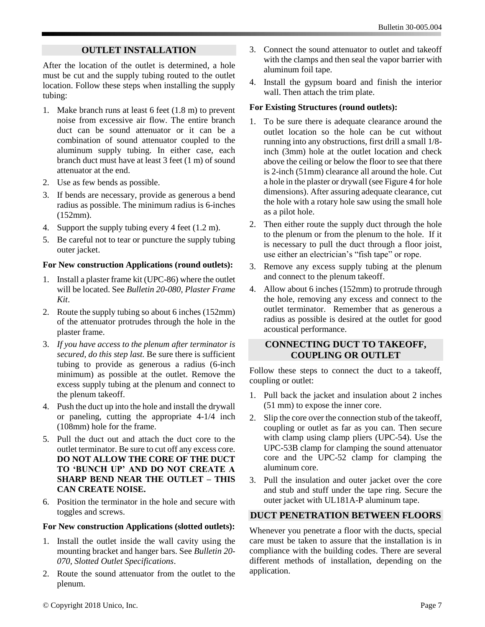# **OUTLET INSTALLATION**

After the location of the outlet is determined, a hole must be cut and the supply tubing routed to the outlet location. Follow these steps when installing the supply tubing:

- 1. Make branch runs at least 6 feet (1.8 m) to prevent noise from excessive air flow. The entire branch duct can be sound attenuator or it can be a combination of sound attenuator coupled to the aluminum supply tubing. In either case, each branch duct must have at least 3 feet (1 m) of sound attenuator at the end.
- 2. Use as few bends as possible.
- 3. If bends are necessary, provide as generous a bend radius as possible. The minimum radius is 6-inches (152mm).
- 4. Support the supply tubing every 4 feet (1.2 m).
- 5. Be careful not to tear or puncture the supply tubing outer jacket.

#### **For New construction Applications (round outlets):**

- 1. Install a plaster frame kit (UPC-86) where the outlet will be located. See *Bulletin 20-080, Plaster Frame Kit*.
- 2. Route the supply tubing so about 6 inches (152mm) of the attenuator protrudes through the hole in the plaster frame.
- 3. *If you have access to the plenum after terminator is secured, do this step last.* Be sure there is sufficient tubing to provide as generous a radius (6-inch minimum) as possible at the outlet. Remove the excess supply tubing at the plenum and connect to the plenum takeoff.
- 4. Push the duct up into the hole and install the drywall or paneling, cutting the appropriate 4-1/4 inch (108mm) hole for the frame.
- 5. Pull the duct out and attach the duct core to the outlet terminator. Be sure to cut off any excess core. **DO NOT ALLOW THE CORE OF THE DUCT TO 'BUNCH UP' AND DO NOT CREATE A SHARP BEND NEAR THE OUTLET – THIS CAN CREATE NOISE.**
- 6. Position the terminator in the hole and secure with toggles and screws.

#### **For New construction Applications (slotted outlets):**

- 1. Install the outlet inside the wall cavity using the mounting bracket and hanger bars. See *Bulletin 20- 070, Slotted Outlet Specifications*.
- 2. Route the sound attenuator from the outlet to the plenum.
- 3. Connect the sound attenuator to outlet and takeoff with the clamps and then seal the vapor barrier with aluminum foil tape.
- 4. Install the gypsum board and finish the interior wall. Then attach the trim plate.

#### **For Existing Structures (round outlets):**

- 1. To be sure there is adequate clearance around the outlet location so the hole can be cut without running into any obstructions, first drill a small 1/8 inch (3mm) hole at the outlet location and check above the ceiling or below the floor to see that there is 2-inch (51mm) clearance all around the hole. Cut a hole in the plaster or drywall (see Figure 4 for hole dimensions). After assuring adequate clearance, cut the hole with a rotary hole saw using the small hole as a pilot hole.
- 2. Then either route the supply duct through the hole to the plenum or from the plenum to the hole. If it is necessary to pull the duct through a floor joist, use either an electrician's "fish tape" or rope.
- 3. Remove any excess supply tubing at the plenum and connect to the plenum takeoff.
- 4. Allow about 6 inches (152mm) to protrude through the hole, removing any excess and connect to the outlet terminator. Remember that as generous a radius as possible is desired at the outlet for good acoustical performance.

#### **CONNECTING DUCT TO TAKEOFF, COUPLING OR OUTLET**

Follow these steps to connect the duct to a takeoff, coupling or outlet:

- 1. Pull back the jacket and insulation about 2 inches (51 mm) to expose the inner core.
- 2. Slip the core over the connection stub of the takeoff, coupling or outlet as far as you can. Then secure with clamp using clamp pliers (UPC-54). Use the UPC-53B clamp for clamping the sound attenuator core and the UPC-52 clamp for clamping the aluminum core.
- 3. Pull the insulation and outer jacket over the core and stub and stuff under the tape ring. Secure the outer jacket with UL181A-P aluminum tape.

# **DUCT PENETRATION BETWEEN FLOORS**

Whenever you penetrate a floor with the ducts, special care must be taken to assure that the installation is in compliance with the building codes. There are several different methods of installation, depending on the application.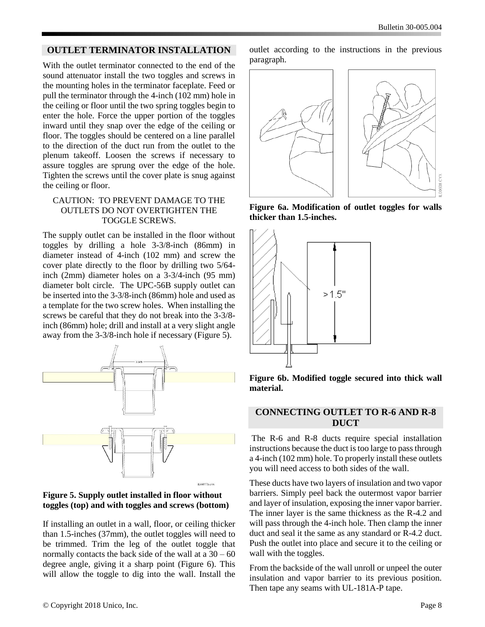#### **OUTLET TERMINATOR INSTALLATION**

With the outlet terminator connected to the end of the sound attenuator install the two toggles and screws in the mounting holes in the terminator faceplate. Feed or pull the terminator through the 4-inch (102 mm) hole in the ceiling or floor until the two spring toggles begin to enter the hole. Force the upper portion of the toggles inward until they snap over the edge of the ceiling or floor. The toggles should be centered on a line parallel to the direction of the duct run from the outlet to the plenum takeoff. Loosen the screws if necessary to assure toggles are sprung over the edge of the hole. Tighten the screws until the cover plate is snug against the ceiling or floor.

#### CAUTION: TO PREVENT DAMAGE TO THE OUTLETS DO NOT OVERTIGHTEN THE TOGGLE SCREWS.

The supply outlet can be installed in the floor without toggles by drilling a hole 3-3/8-inch (86mm) in diameter instead of 4-inch (102 mm) and screw the cover plate directly to the floor by drilling two 5/64 inch (2mm) diameter holes on a 3-3/4-inch (95 mm) diameter bolt circle. The UPC-56B supply outlet can be inserted into the 3-3/8-inch (86mm) hole and used as a template for the two screw holes. When installing the screws be careful that they do not break into the 3-3/8 inch (86mm) hole; drill and install at a very slight angle away from the 3-3/8-inch hole if necessary (Figure 5).





If installing an outlet in a wall, floor, or ceiling thicker than 1.5-inches (37mm), the outlet toggles will need to be trimmed. Trim the leg of the outlet toggle that normally contacts the back side of the wall at  $a\ 30 - 60$ degree angle, giving it a sharp point (Figure 6). This will allow the toggle to dig into the wall. Install the

outlet according to the instructions in the previous paragraph.



**Figure 6a. Modification of outlet toggles for walls thicker than 1.5-inches.**



**Figure 6b. Modified toggle secured into thick wall material.**

#### **CONNECTING OUTLET TO R-6 AND R-8 DUCT**

The R-6 and R-8 ducts require special installation instructions because the duct is too large to pass through a 4-inch (102 mm) hole. To properly install these outlets you will need access to both sides of the wall.

These ducts have two layers of insulation and two vapor barriers. Simply peel back the outermost vapor barrier and layer of insulation, exposing the inner vapor barrier. The inner layer is the same thickness as the R-4.2 and will pass through the 4-inch hole. Then clamp the inner duct and seal it the same as any standard or R-4.2 duct. Push the outlet into place and secure it to the ceiling or wall with the toggles.

From the backside of the wall unroll or unpeel the outer insulation and vapor barrier to its previous position. Then tape any seams with UL-181A-P tape.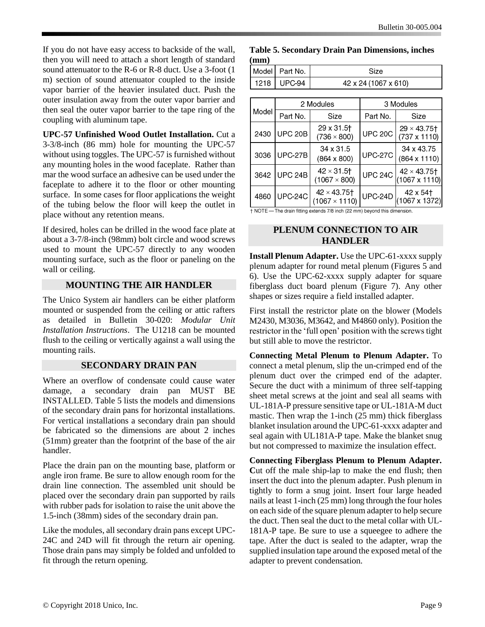If you do not have easy access to backside of the wall, then you will need to attach a short length of standard sound attenuator to the R-6 or R-8 duct. Use a 3-foot (1 m) section of sound attenuator coupled to the inside vapor barrier of the heavier insulated duct. Push the outer insulation away from the outer vapor barrier and then seal the outer vapor barrier to the tape ring of the coupling with aluminum tape.

**UPC-57 Unfinished Wood Outlet Installation.** Cut a 3-3/8-inch (86 mm) hole for mounting the UPC-57 without using toggles. The UPC-57 is furnished without any mounting holes in the wood faceplate. Rather than mar the wood surface an adhesive can be used under the faceplate to adhere it to the floor or other mounting surface. In some cases for floor applications the weight of the tubing below the floor will keep the outlet in place without any retention means.

If desired, holes can be drilled in the wood face plate at about a 3-7/8-inch (98mm) bolt circle and wood screws used to mount the UPC-57 directly to any wooden mounting surface, such as the floor or paneling on the wall or ceiling.

## **MOUNTING THE AIR HANDLER**

The Unico System air handlers can be either platform mounted or suspended from the ceiling or attic rafters as detailed in Bulletin 30-020: *Modular Unit Installation Instructions*. The U1218 can be mounted flush to the ceiling or vertically against a wall using the mounting rails.

#### **SECONDARY DRAIN PAN**

Where an overflow of condensate could cause water damage, a secondary drain pan MUST BE INSTALLED. Table 5 lists the models and dimensions of the secondary drain pans for horizontal installations. For vertical installations a secondary drain pan should be fabricated so the dimensions are about 2 inches (51mm) greater than the footprint of the base of the air handler.

Place the drain pan on the mounting base, platform or angle iron frame. Be sure to allow enough room for the drain line connection. The assembled unit should be placed over the secondary drain pan supported by rails with rubber pads for isolation to raise the unit above the 1.5-inch (38mm) sides of the secondary drain pan.

Like the modules, all secondary drain pans except UPC-24C and 24D will fit through the return air opening. Those drain pans may simply be folded and unfolded to fit through the return opening.

**Table 5. Secondary Drain Pan Dimensions, inches (mm)**

| Model Part No. | Size                 |
|----------------|----------------------|
| 1218   UPC-94  | 42 x 24 (1067 x 610) |

|       |                | 2 Modules                                            |                | 3 Modules                                              |
|-------|----------------|------------------------------------------------------|----------------|--------------------------------------------------------|
| Model | Part No.       | Size                                                 | Part No.       | Size                                                   |
| 2430  | <b>UPC 20B</b> | 29 x 31.5 <sup>+</sup><br>$(736 \times 800)$         | <b>UPC 20C</b> | $29 \times 43.75$ <sup>+</sup><br>$(737 \times 1110)$  |
| 3036  | <b>UPC-27B</b> | 34 x 31.5<br>$(864 \times 800)$                      | <b>UPC-27C</b> | 34 x 43.75<br>$(864 \times 1110)$                      |
| 3642  | <b>UPC 24B</b> | $42 \times 31.5$ <sup>+</sup><br>$(1067 \times 800)$ | <b>UPC 24C</b> | $42 \times 43.75$ <sup>+</sup><br>$(1067 \times 1110)$ |
| 4860  | <b>UPC-24C</b> | $42 \times 43.75$<br>$(1067 \times 1110)$            | <b>UPC-24D</b> | 42 x 54 <sup>+</sup><br>$(1067 \times 1372)$           |

† NOTE - The drain fitting extends 7/8 inch (22 mm) beyond this dimension.

#### **PLENUM CONNECTION TO AIR HANDLER**

**Install Plenum Adapter.** Use the UPC-61-xxxx supply plenum adapter for round metal plenum (Figures 5 and 6). Use the UPC-62-xxxx supply adapter for square fiberglass duct board plenum (Figure 7). Any other shapes or sizes require a field installed adapter.

First install the restrictor plate on the blower (Models M2430, M3036, M3642, and M4860 only). Position the restrictor in the 'full open' position with the screws tight but still able to move the restrictor.

**Connecting Metal Plenum to Plenum Adapter.** To connect a metal plenum, slip the un-crimped end of the plenum duct over the crimped end of the adapter. Secure the duct with a minimum of three self-tapping sheet metal screws at the joint and seal all seams with UL-181A-P pressure sensitive tape or UL-181A-M duct mastic. Then wrap the 1-inch (25 mm) thick fiberglass blanket insulation around the UPC-61-xxxx adapter and seal again with UL181A-P tape. Make the blanket snug but not compressed to maximize the insulation effect.

**Connecting Fiberglass Plenum to Plenum Adapter. C**ut off the male ship-lap to make the end flush; then insert the duct into the plenum adapter. Push plenum in tightly to form a snug joint. Insert four large headed nails at least 1-inch (25 mm) long through the four holes on each side of the square plenum adapter to help secure the duct. Then seal the duct to the metal collar with UL-181A-P tape. Be sure to use a squeegee to adhere the tape. After the duct is sealed to the adapter, wrap the supplied insulation tape around the exposed metal of the adapter to prevent condensation.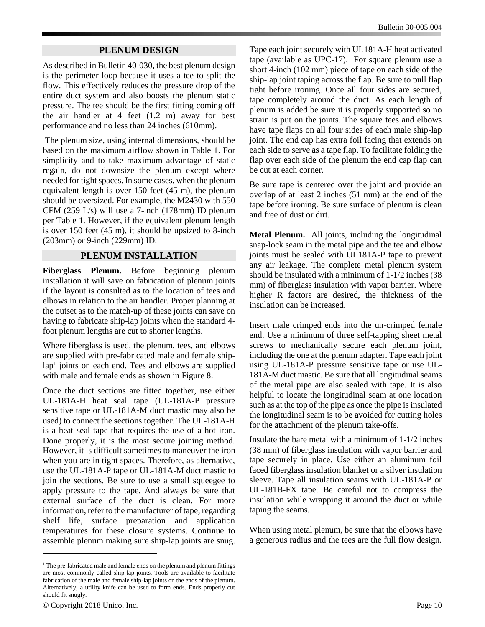#### **PLENUM DESIGN**

As described in Bulletin 40-030, the best plenum design is the perimeter loop because it uses a tee to split the flow. This effectively reduces the pressure drop of the entire duct system and also boosts the plenum static pressure. The tee should be the first fitting coming off the air handler at 4 feet (1.2 m) away for best performance and no less than 24 inches (610mm).

The plenum size, using internal dimensions, should be based on the maximum airflow shown in Table 1. For simplicity and to take maximum advantage of static regain, do not downsize the plenum except where needed for tight spaces. In some cases, when the plenum equivalent length is over 150 feet (45 m), the plenum should be oversized. For example, the M2430 with 550 CFM (259 L/s) will use a 7-inch (178mm) ID plenum per Table 1. However, if the equivalent plenum length is over 150 feet (45 m), it should be upsized to 8-inch (203mm) or 9-inch (229mm) ID.

#### **PLENUM INSTALLATION**

**Fiberglass Plenum.** Before beginning plenum installation it will save on fabrication of plenum joints if the layout is consulted as to the location of tees and elbows in relation to the air handler. Proper planning at the outset as to the match-up of these joints can save on having to fabricate ship-lap joints when the standard 4 foot plenum lengths are cut to shorter lengths.

Where fiberglass is used, the plenum, tees, and elbows are supplied with pre-fabricated male and female shiplap<sup>1</sup> joints on each end. Tees and elbows are supplied with male and female ends as shown in Figure 8.

Once the duct sections are fitted together, use either UL-181A-H heat seal tape (UL-181A-P pressure sensitive tape or UL-181A-M duct mastic may also be used) to connect the sections together. The UL-181A-H is a heat seal tape that requires the use of a hot iron. Done properly, it is the most secure joining method. However, it is difficult sometimes to maneuver the iron when you are in tight spaces. Therefore, as alternative, use the UL-181A-P tape or UL-181A-M duct mastic to join the sections. Be sure to use a small squeegee to apply pressure to the tape. And always be sure that external surface of the duct is clean. For more information, refer to the manufacturer of tape*,* regarding shelf life, surface preparation and application temperatures for these closure systems. Continue to assemble plenum making sure ship-lap joints are snug.

Tape each joint securely with UL181A-H heat activated tape (available as UPC-17). For square plenum use a short 4-inch (102 mm) piece of tape on each side of the ship-lap joint taping across the flap. Be sure to pull flap tight before ironing. Once all four sides are secured, tape completely around the duct. As each length of plenum is added be sure it is properly supported so no strain is put on the joints. The square tees and elbows have tape flaps on all four sides of each male ship-lap joint. The end cap has extra foil facing that extends on each side to serve as a tape flap. To facilitate folding the flap over each side of the plenum the end cap flap can be cut at each corner.

Be sure tape is centered over the joint and provide an overlap of at least 2 inches (51 mm) at the end of the tape before ironing. Be sure surface of plenum is clean and free of dust or dirt.

**Metal Plenum.** All joints, including the longitudinal snap-lock seam in the metal pipe and the tee and elbow joints must be sealed with UL181A-P tape to prevent any air leakage. The complete metal plenum system should be insulated with a minimum of 1-1/2 inches (38 mm) of fiberglass insulation with vapor barrier. Where higher R factors are desired, the thickness of the insulation can be increased.

Insert male crimped ends into the un-crimped female end. Use a minimum of three self-tapping sheet metal screws to mechanically secure each plenum joint, including the one at the plenum adapter. Tape each joint using UL-181A-P pressure sensitive tape or use UL-181A-M duct mastic. Be sure that all longitudinal seams of the metal pipe are also sealed with tape. It is also helpful to locate the longitudinal seam at one location such as at the top of the pipe as once the pipe is insulated the longitudinal seam is to be avoided for cutting holes for the attachment of the plenum take-offs.

Insulate the bare metal with a minimum of 1-1/2 inches (38 mm) of fiberglass insulation with vapor barrier and tape securely in place. Use either an aluminum foil faced fiberglass insulation blanket or a silver insulation sleeve. Tape all insulation seams with UL-181A-P or UL-181B-FX tape. Be careful not to compress the insulation while wrapping it around the duct or while taping the seams.

When using metal plenum, be sure that the elbows have a generous radius and the tees are the full flow design.

 $\overline{a}$ 

<sup>&</sup>lt;sup>1</sup> The pre-fabricated male and female ends on the plenum and plenum fittings are most commonly called ship-lap joints. Tools are available to facilitate fabrication of the male and female ship-lap joints on the ends of the plenum. Alternatively, a utility knife can be used to form ends. Ends properly cut should fit snugly.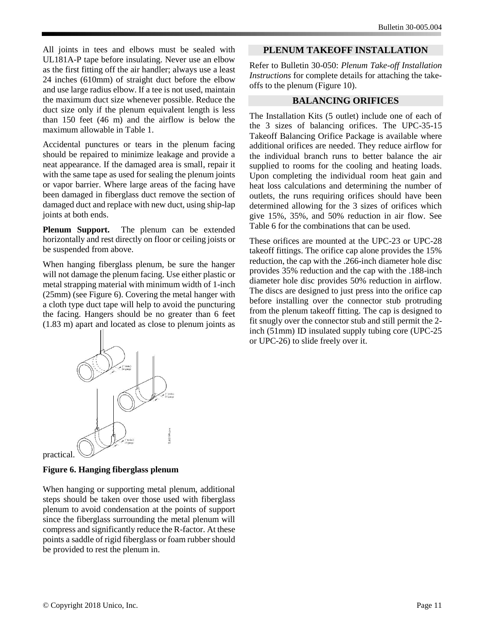All joints in tees and elbows must be sealed with UL181A-P tape before insulating. Never use an elbow as the first fitting off the air handler; always use a least 24 inches (610mm) of straight duct before the elbow and use large radius elbow. If a tee is not used, maintain the maximum duct size whenever possible. Reduce the duct size only if the plenum equivalent length is less than 150 feet (46 m) and the airflow is below the maximum allowable in Table 1.

Accidental punctures or tears in the plenum facing should be repaired to minimize leakage and provide a neat appearance. If the damaged area is small, repair it with the same tape as used for sealing the plenum joints or vapor barrier. Where large areas of the facing have been damaged in fiberglass duct remove the section of damaged duct and replace with new duct, using ship-lap joints at both ends.

**Plenum Support.** The plenum can be extended horizontally and rest directly on floor or ceiling joists or be suspended from above.

When hanging fiberglass plenum, be sure the hanger will not damage the plenum facing. Use either plastic or metal strapping material with minimum width of 1-inch (25mm) (see Figure 6). Covering the metal hanger with a cloth type duct tape will help to avoid the puncturing the facing. Hangers should be no greater than 6 feet (1.83 m) apart and located as close to plenum joints as



practical.

# **Figure 6. Hanging fiberglass plenum**

When hanging or supporting metal plenum, additional steps should be taken over those used with fiberglass plenum to avoid condensation at the points of support since the fiberglass surrounding the metal plenum will compress and significantly reduce the R-factor. At these points a saddle of rigid fiberglass or foam rubber should be provided to rest the plenum in.

## **PLENUM TAKEOFF INSTALLATION**

Refer to Bulletin 30-050: *Plenum Take-off Installation Instructions* for complete details for attaching the takeoffs to the plenum (Figure 10).

# **BALANCING ORIFICES**

The Installation Kits (5 outlet) include one of each of the 3 sizes of balancing orifices. The UPC-35-15 Takeoff Balancing Orifice Package is available where additional orifices are needed. They reduce airflow for the individual branch runs to better balance the air supplied to rooms for the cooling and heating loads. Upon completing the individual room heat gain and heat loss calculations and determining the number of outlets, the runs requiring orifices should have been determined allowing for the 3 sizes of orifices which give 15%, 35%, and 50% reduction in air flow. See Table 6 for the combinations that can be used.

These orifices are mounted at the UPC-23 or UPC-28 takeoff fittings. The orifice cap alone provides the 15% reduction, the cap with the .266-inch diameter hole disc provides 35% reduction and the cap with the .188-inch diameter hole disc provides 50% reduction in airflow. The discs are designed to just press into the orifice cap before installing over the connector stub protruding from the plenum takeoff fitting. The cap is designed to fit snugly over the connector stub and still permit the 2 inch (51mm) ID insulated supply tubing core (UPC-25 or UPC-26) to slide freely over it.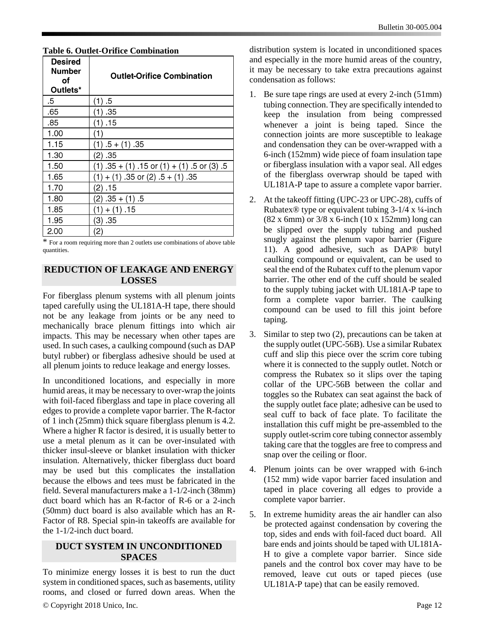| Desired<br>Number<br>оf<br>Outlets* | <b>Outlet-Orifice Combination</b>             |
|-------------------------------------|-----------------------------------------------|
| .5                                  | (1) 5                                         |
| .65                                 | (1) .35                                       |
| .85                                 | (1) .15                                       |
| 1.00                                | (1)                                           |
| 1.15                                | $(1) .5 + (1) .35$                            |
| 1.30                                | (2) .35                                       |
| 1.50                                | $(1)$ .35 + (1) .15 or (1) + (1) .5 or (3) .5 |
| 1.65                                | $(1) + (1)$ 35 or $(2)$ 5 + $(1)$ 35          |
| 1.70                                | (2) .15                                       |
| 1.80                                | $(2) .35 + (1) .5$                            |
| 1.85                                | $(1) + (1)$ .15                               |
| 1.95                                | (3) .35                                       |
| 2.00                                | (2)                                           |

#### **Table 6. Outlet-Orifice Combination**

\* For a room requiring more than 2 outlets use combinations of above table quantities.

#### **REDUCTION OF LEAKAGE AND ENERGY LOSSES**

For fiberglass plenum systems with all plenum joints taped carefully using the UL181A-H tape, there should not be any leakage from joints or be any need to mechanically brace plenum fittings into which air impacts. This may be necessary when other tapes are used. In such cases, a caulking compound (such as DAP butyl rubber) or fiberglass adhesive should be used at all plenum joints to reduce leakage and energy losses.

In unconditioned locations, and especially in more humid areas, it may be necessary to over-wrap the joints with foil-faced fiberglass and tape in place covering all edges to provide a complete vapor barrier. The R-factor of 1 inch (25mm) thick square fiberglass plenum is 4.2. Where a higher R factor is desired, it is usually better to use a metal plenum as it can be over-insulated with thicker insul-sleeve or blanket insulation with thicker insulation. Alternatively, thicker fiberglass duct board may be used but this complicates the installation because the elbows and tees must be fabricated in the field. Several manufacturers make a 1-1/2-inch (38mm) duct board which has an R-factor of R-6 or a 2-inch (50mm) duct board is also available which has an R-Factor of R8. Special spin-in takeoffs are available for the 1-1/2-inch duct board.

## **DUCT SYSTEM IN UNCONDITIONED SPACES**

To minimize energy losses it is best to run the duct system in conditioned spaces, such as basements, utility rooms, and closed or furred down areas. When the

© Copyright 2018 Unico, Inc. Page 12

distribution system is located in unconditioned spaces and especially in the more humid areas of the country, it may be necessary to take extra precautions against condensation as follows:

- 1. Be sure tape rings are used at every 2-inch (51mm) tubing connection. They are specifically intended to keep the insulation from being compressed whenever a joint is being taped. Since the connection joints are more susceptible to leakage and condensation they can be over-wrapped with a 6-inch (152mm) wide piece of foam insulation tape or fiberglass insulation with a vapor seal. All edges of the fiberglass overwrap should be taped with UL181A-P tape to assure a complete vapor barrier.
- 2. At the takeoff fitting (UPC-23 or UPC-28), cuffs of Rubatex® type or equivalent tubing  $3-1/4 \times \frac{1}{4}$ -inch (82 x 6mm) or 3/8 x 6-inch (10 x 152mm) long can be slipped over the supply tubing and pushed snugly against the plenum vapor barrier (Figure 11). A good adhesive, such as DAP® butyl caulking compound or equivalent, can be used to seal the end of the Rubatex cuff to the plenum vapor barrier. The other end of the cuff should be sealed to the supply tubing jacket with UL181A-P tape to form a complete vapor barrier. The caulking compound can be used to fill this joint before taping.
- 3. Similar to step two (2), precautions can be taken at the supply outlet (UPC-56B). Use a similar Rubatex cuff and slip this piece over the scrim core tubing where it is connected to the supply outlet. Notch or compress the Rubatex so it slips over the taping collar of the UPC-56B between the collar and toggles so the Rubatex can seat against the back of the supply outlet face plate; adhesive can be used to seal cuff to back of face plate. To facilitate the installation this cuff might be pre-assembled to the supply outlet-scrim core tubing connector assembly taking care that the toggles are free to compress and snap over the ceiling or floor.
- 4. Plenum joints can be over wrapped with 6-inch (152 mm) wide vapor barrier faced insulation and taped in place covering all edges to provide a complete vapor barrier.
- 5. In extreme humidity areas the air handler can also be protected against condensation by covering the top, sides and ends with foil-faced duct board. All bare ends and joints should be taped with UL181A-H to give a complete vapor barrier. Since side panels and the control box cover may have to be removed, leave cut outs or taped pieces (use UL181A-P tape) that can be easily removed.